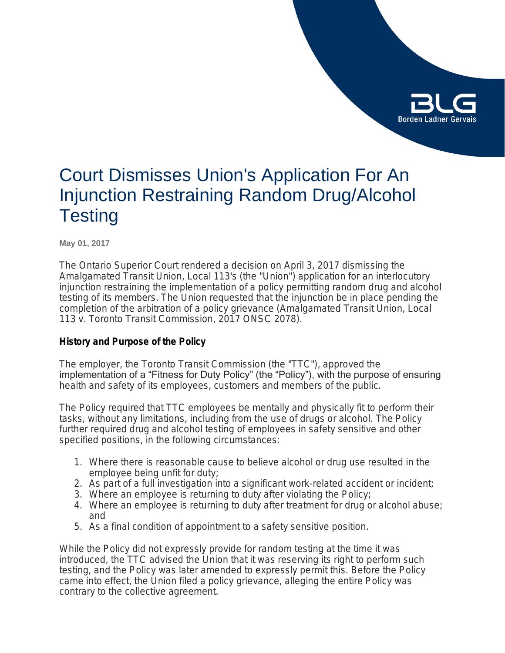

# Court Dismisses Union's Application For An Injunction Restraining Random Drug/Alcohol **Testing**

**May 01, 2017**

The Ontario Superior Court rendered a decision on April 3, 2017 dismissing the Amalgamated Transit Union, Local 113's (the "Union") application for an interlocutory injunction restraining the implementation of a policy permitting random drug and alcohol testing of its members. The Union requested that the injunction be in place pending the completion of the arbitration of a policy grievance (*Amalgamated Transit Union, Local 113 v. Toronto Transit Commission*, 2017 ONSC 2078).

## **History and Purpose of the Policy**

The employer, the Toronto Transit Commission (the "TTC"), approved the implementation of a "Fitness for Duty Policy" (the "Policy"), with the purpose of ensuring health and safety of its employees, customers and members of the public.

The Policy required that TTC employees be mentally and physically fit to perform their tasks, without any limitations, including from the use of drugs or alcohol. The Policy further required drug and alcohol testing of employees in safety sensitive and other specified positions, in the following circumstances:

- 1. Where there is reasonable cause to believe alcohol or drug use resulted in the employee being unfit for duty;
- 2. As part of a full investigation into a significant work-related accident or incident;
- 3. Where an employee is returning to duty after violating the Policy;
- 4. Where an employee is returning to duty after treatment for drug or alcohol abuse; and
- 5. As a final condition of appointment to a safety sensitive position.

While the Policy did not expressly provide for random testing at the time it was introduced, the TTC advised the Union that it was reserving its right to perform such testing, and the Policy was later amended to expressly permit this. Before the Policy came into effect, the Union filed a policy grievance, alleging the entire Policy was contrary to the collective agreement.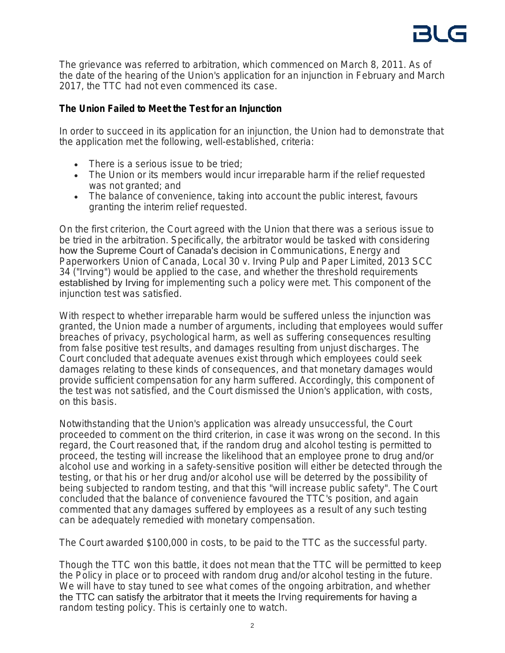The grievance was referred to arbitration, which commenced on March 8, 2011. As of the date of the hearing of the Union's application for an injunction in February and March 2017, the TTC had not even commenced its case.

# **The Union Failed to Meet the Test for an Injunction**

In order to succeed in its application for an injunction, the Union had to demonstrate that the application met the following, well-established, criteria:

- There is a serious issue to be tried:
- The Union or its members would incur irreparable harm if the relief requested was not granted; and
- The balance of convenience, taking into account the public interest, favours granting the interim relief requested.

On the first criterion, the Court agreed with the Union that there was a serious issue to be tried in the arbitration. Specifically, the arbitrator would be tasked with considering how the Supreme Court of Canada's decision in *Communications, Energy and Paperworkers Union of Canada, Local 30 v. Irving Pulp and Paper Limited*, 2013 SCC 34 ("*Irving*") would be applied to the case, and whether the threshold requirements established by Irving for implementing such a policy were met. This component of the injunction test was satisfied.

With respect to whether irreparable harm would be suffered unless the injunction was granted, the Union made a number of arguments, including that employees would suffer breaches of privacy, psychological harm, as well as suffering consequences resulting from false positive test results, and damages resulting from unjust discharges. The Court concluded that adequate avenues exist through which employees could seek damages relating to these kinds of consequences, and that monetary damages would provide sufficient compensation for any harm suffered. Accordingly, this component of the test was not satisfied, and the Court dismissed the Union's application, with costs, on this basis.

Notwithstanding that the Union's application was already unsuccessful, the Court proceeded to comment on the third criterion, in case it was wrong on the second. In this regard, the Court reasoned that, if the random drug and alcohol testing is permitted to proceed, the testing will increase the likelihood that an employee prone to drug and/or alcohol use and working in a safety-sensitive position will either be detected through the testing, or that his or her drug and/or alcohol use will be deterred by the possibility of being subjected to random testing, and that this "will increase public safety". The Court concluded that the balance of convenience favoured the TTC's position, and again commented that any damages suffered by employees as a result of any such testing can be adequately remedied with monetary compensation.

The Court awarded \$100,000 in costs, to be paid to the TTC as the successful party.

Though the TTC won this battle, it does not mean that the TTC will be permitted to keep the Policy in place or to proceed with random drug and/or alcohol testing in the future. We will have to stay tuned to see what comes of the ongoing arbitration, and whether the TTC can satisfy the arbitrator that it meets the *Irving* requirements for having a random testing policy. This is certainly one to watch.